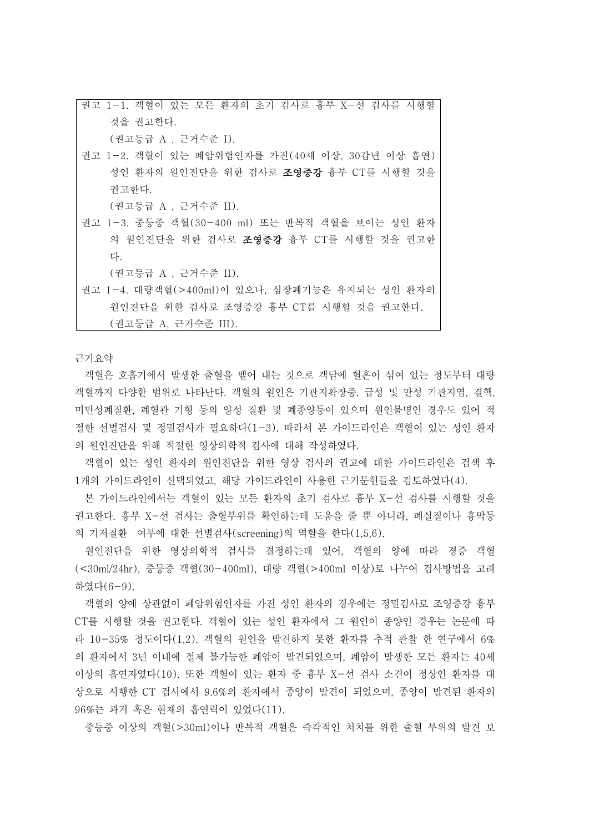권고 1-1. 객혈이 있는 모든 환자의 초기 검사로 흉부 X-선 검사를 시행할 것을 권고한다. (권고등급 A , 근거수준 I).

권고 1-2. 객혈이 있는 폐암위험인자를 가진(40세 이상, 30갑년 이상 흡연) 성인 환자의 원인진단을 위한 검사로 조영증강 흉부 CT를 시행할 것을 권고한다.

(권고등급 A , 근거수준 II).

권고 1-3. 중등증 객혈(30-400 ml) 또는 반복적 객혈을 보이는 성인 환자 의 원인진단을 위한 검사로 조영증강 흉부 CT를 시행할 것을 권고한 다.

(권고등급 A , 근거수준 II).

권고 1-4. 대량객혈(>400ml)이 있으나, 심장폐기능은 유지되는 성인 환자의 원인진단을 위한 검사로 조영증강 흉부 CT를 시행할 것을 권고한다. (권고등급 A, 근거수준 III).

근거요약

객혈은 호흡기에서 발생한 출혈을 뱉어 내는 것으로 객담에 혈흔이 섞여 있는 정도부터 대량 객혈까지 다양한 범위로 나타난다. 객혈의 원인은 기관지확장증, 급성 및 만성 기관지염, 결핵,<br>미만성폐질환, 폐혈관 기형 등의 양성 질환 및 폐종양등이 있으며 원인불명인 경우도 있어 적 절한 선별검사 및 정밀검사가 필요하다(1-3). 따라서 본 가이드라인은 객혈이 있는 성인 환자 의 원인진단을 위해 적절한 영상의학적 검사에 대해 작성하였다.

객혈이 있는 성인 환자의 원인진단을 위한 영상 검사의 권고에 대한 가이드라인은 검색 후 1개의 가이드라인이 선택되었고, 해당 가이드라인이 사용한 근거문헌들을 검토하였다(4).

본 가이드라인에서는 객혈이 있는 모든 환자의 초기 검사로 흉부 X-선 검사를 시행할 것을 권고한다. 흉부 X-선 검사는 출혈부위를 확인하는데 도움을 줄 뿐 아니라, 폐실질이나 흉막등 의 기저질환 여부에 대한 선별검사(screening)의 역할을 한다(1,5,6).

원인진단을 위한 영상의학적 검사를 결정하는데 있어, 객혈의 양에 따라 경증 객혈 (<30ml/24hr), 중등증 객혈(30-400ml), 대량 객혈(>400ml 이상)로 나누어 검사방법을 고려 하였다(6-9).

객혈의 양에 상관없이 폐암위험인자를 가진 성인 환자의 경우에는 정밀검사로 조영증강 흉부 CT를 시행할 것을 권고한다. 객혈이 있는 성인 환자에서 그 원인이 종양인 경우는 논문에 따 라 10-35% 정도이다(1,2). 객혈의 원인을 발견하지 못한 환자를 추적 관찰 한 연구에서 6% 의 환자에서 3년 이내에 절제 불가능한 폐암이 발견되었으며, 폐암이 발생한 모든 환자는 40세 이상의 흡연자였다(10). 또한 객혈이 있는 환자 중 흉부 X-선 검사 소견이 정상인 환자를 대 상으로 시행한 CT 검사에서 9.6%의 환자에서 종양이 발견이 되었으며, 종양이 발견된 환자의 96%는 과거 혹은 현재의 흡연력이 있었다(11).

중등증 이상의 객혈(>30ml)이나 반복적 객혈은 즉각적인 처치를 위한 출혈 부위의 발견 보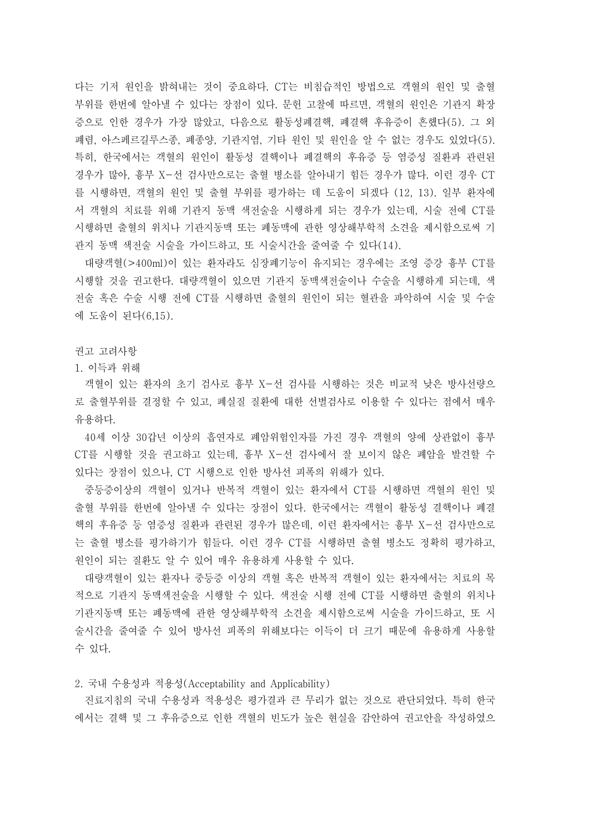다는 기저 원인을 밝혀내는 것이 중요하다. CT는 비침습적인 방법으로 객혈의 원인 및 출혈 부위를 한번에 알아낼 수 있다는 장점이 있다. 문헌 고찰에 따르면, 객혈의 원인은 기관지 확장 증으로 인한 경우가 가장 많았고, 다음으로 활동성폐결핵, 폐결핵 후유증이 흔했다(5). 그 외 폐렴, 아스페르길루스종, 폐종양, 기관지염, 기타 원인 및 원인을 알 수 없는 경우도 있었다(5). 특히, 한국에서는 객혈의 원인이 활동성 결핵이나 폐결핵의 후유증 등 염증성 질환과 관련된 경우가 많아, 흉부 X-선 검사만으로는 출혈 병소를 알아내기 힘든 경우가 많다. 이런 경우 CT 를 시행하면, 객혈의 원인 및 출혈 부위를 평가하는 데 도움이 되겠다 (12, 13). 일부 환자에 서 객혈의 치료를 위해 기관지 동맥 색전술을 시행하게 되는 경우가 있는데, 시술 전에 CT를 시행하면 출혈의 위치나 기관지동맥 또는 폐동맥에 관한 영상해부학적 소견을 제시함으로써 기 관지 동맥 색전술 시술을 가이드하고, 또 시술시간을 줄여줄 수 있다(14).

대량객혈(>400ml)이 있는 환자라도 심장폐기능이 유지되는 경우에는 조영 증강 흉부 CT를 시행할 것을 권고한다. 대량객혈이 있으면 기관지 동맥색전술이나 수술을 시행하게 되는데, 색 전술 혹은 수술 시행 전에 CT를 시행하면 출혈의 원인이 되는 혈관을 파악하여 시술 및 수술 에 도움이 된다(6,15).

권고 고려사항

1. 이득과 위해

객혈이 있는 환자의 초기 검사로 흉부 X-선 검사를 시행하는 것은 비교적 낮은 방사선량으 로 출혈부위를 결정할 수 있고, 폐실질 질환에 대한 선별검사로 이용할 수 있다는 점에서 매우 유용하다.<br>- 40세 이상 30갑년 이상의 흡연자로 폐암위험인자를 가진 경우 객혈의 양에 상관없이 흉부

CT를 시행할 것을 권고하고 있는데, 흉부 X-선 검사에서 잘 보이지 않은 폐암을 발견할 수 있다는 장점이 있으나, CT 시행으로 인한 방사선 피폭의 위해가 있다.<br>- 중등증이상의 객혈이 있거나 반복적 객혈이 있는 환자에서 CT를 시행하면 객혈의 원인 및

출혈 부위를 한번에 알아낼 수 있다는 장점이 있다. 한국에서는 객혈이 활동성 결핵이나 폐결 핵의 후유증 등 염증성 질환과 관련된 경우가 많은데, 이런 환자에서는 흉부 X-선 검사만으로 는 출혈 병소를 평가하기가 힘들다. 이런 경우 CT를 시행하면 출혈 병소도 정확히 평가하고,<br>원인이 되는 질환도 알 수 있어 매우 유용하게 사용할 수 있다.

대량객혈이 있는 환자나 중등증 이상의 객혈 혹은 반복적 객혈이 있는 환자에서는 치료의 목 적으로 기관지 동맥색전술을 시행할 수 있다. 색전술 시행 전에 CT를 시행하면 출혈의 위치나 기관지동맥 또는 폐동맥에 관한 영상해부학적 소견을 제시함으로써 시술을 가이드하고, 또 시 술시간을 줄여줄 수 있어 방사선 피폭의 위해보다는 이득이 더 크기 때문에 유용하게 사용할 수 있다.

2. 국내 수용성과 적용성(Acceptability and Applicability)

진료지침의 국내 수용성과 적용성은 평가결과 큰 무리가 없는 것으로 판단되었다. 특히 한국 에서는 결핵 및 그 후유증으로 인한 객혈의 빈도가 높은 현실을 감안하여 권고안을 작성하였으